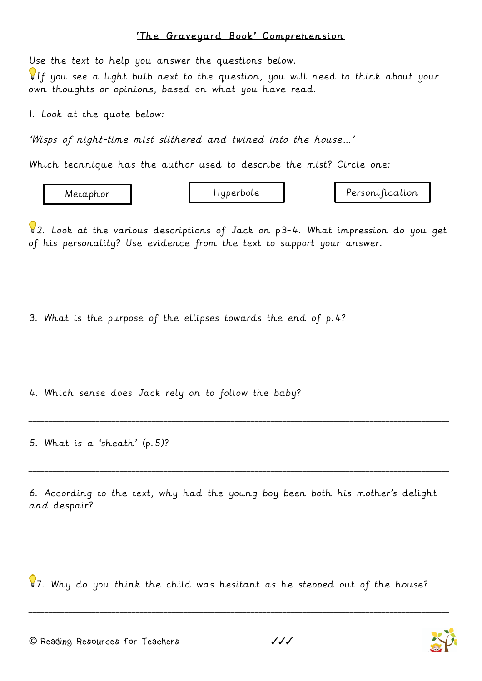## 'The Graveyard Book' Comprehension

Use the text to help you answer the questions below.

 $\P$ If you see a light bulb next to the question, you will need to think about your own thoughts or opinions, based on what you have read.

1. Look at the quote below:

'Wisps of night-time mist slithered and twined into the house…'

Which technique has the author used to describe the mist? Circle one:

Metaphor Hyperbole Personification

 $\sqrt{2}$ . Look at the various descriptions of Jack on p3-4. What impression do you get of his personality? Use evidence from the text to support your answer.

\_\_\_\_\_\_\_\_\_\_\_\_\_\_\_\_\_\_\_\_\_\_\_\_\_\_\_\_\_\_\_\_\_\_\_\_\_\_\_\_\_\_\_\_\_\_\_\_\_\_\_\_\_\_\_\_\_\_\_\_\_\_\_\_\_\_\_\_\_\_\_\_\_\_\_\_\_\_\_\_\_\_\_\_\_\_\_\_\_\_\_\_\_\_\_\_\_\_\_\_\_\_\_\_\_\_

\_\_\_\_\_\_\_\_\_\_\_\_\_\_\_\_\_\_\_\_\_\_\_\_\_\_\_\_\_\_\_\_\_\_\_\_\_\_\_\_\_\_\_\_\_\_\_\_\_\_\_\_\_\_\_\_\_\_\_\_\_\_\_\_\_\_\_\_\_\_\_\_\_\_\_\_\_\_\_\_\_\_\_\_\_\_\_\_\_\_\_\_\_\_\_\_\_\_\_\_\_\_\_\_\_\_

\_\_\_\_\_\_\_\_\_\_\_\_\_\_\_\_\_\_\_\_\_\_\_\_\_\_\_\_\_\_\_\_\_\_\_\_\_\_\_\_\_\_\_\_\_\_\_\_\_\_\_\_\_\_\_\_\_\_\_\_\_\_\_\_\_\_\_\_\_\_\_\_\_\_\_\_\_\_\_\_\_\_\_\_\_\_\_\_\_\_\_\_\_\_\_\_\_\_\_\_\_\_\_\_\_\_

\_\_\_\_\_\_\_\_\_\_\_\_\_\_\_\_\_\_\_\_\_\_\_\_\_\_\_\_\_\_\_\_\_\_\_\_\_\_\_\_\_\_\_\_\_\_\_\_\_\_\_\_\_\_\_\_\_\_\_\_\_\_\_\_\_\_\_\_\_\_\_\_\_\_\_\_\_\_\_\_\_\_\_\_\_\_\_\_\_\_\_\_\_\_\_\_\_\_\_\_\_\_\_\_\_\_

\_\_\_\_\_\_\_\_\_\_\_\_\_\_\_\_\_\_\_\_\_\_\_\_\_\_\_\_\_\_\_\_\_\_\_\_\_\_\_\_\_\_\_\_\_\_\_\_\_\_\_\_\_\_\_\_\_\_\_\_\_\_\_\_\_\_\_\_\_\_\_\_\_\_\_\_\_\_\_\_\_\_\_\_\_\_\_\_\_\_\_\_\_\_\_\_\_\_\_\_\_\_\_\_\_\_

\_\_\_\_\_\_\_\_\_\_\_\_\_\_\_\_\_\_\_\_\_\_\_\_\_\_\_\_\_\_\_\_\_\_\_\_\_\_\_\_\_\_\_\_\_\_\_\_\_\_\_\_\_\_\_\_\_\_\_\_\_\_\_\_\_\_\_\_\_\_\_\_\_\_\_\_\_\_\_\_\_\_\_\_\_\_\_\_\_\_\_\_\_\_\_\_\_\_\_\_\_\_\_\_\_\_

3. What is the purpose of the ellipses towards the end of p.4?

4. Which sense does Jack rely on to follow the baby?

5. What is a 'sheath' (p.5)?

6. According to the text, why had the young boy been both his mother's delight and despair?

\_\_\_\_\_\_\_\_\_\_\_\_\_\_\_\_\_\_\_\_\_\_\_\_\_\_\_\_\_\_\_\_\_\_\_\_\_\_\_\_\_\_\_\_\_\_\_\_\_\_\_\_\_\_\_\_\_\_\_\_\_\_\_\_\_\_\_\_\_\_\_\_\_\_\_\_\_\_\_\_\_\_\_\_\_\_\_\_\_\_\_\_\_\_\_\_\_\_\_\_\_\_\_\_\_\_

\_\_\_\_\_\_\_\_\_\_\_\_\_\_\_\_\_\_\_\_\_\_\_\_\_\_\_\_\_\_\_\_\_\_\_\_\_\_\_\_\_\_\_\_\_\_\_\_\_\_\_\_\_\_\_\_\_\_\_\_\_\_\_\_\_\_\_\_\_\_\_\_\_\_\_\_\_\_\_\_\_\_\_\_\_\_\_\_\_\_\_\_\_\_\_\_\_\_\_\_\_\_\_\_\_\_

\_\_\_\_\_\_\_\_\_\_\_\_\_\_\_\_\_\_\_\_\_\_\_\_\_\_\_\_\_\_\_\_\_\_\_\_\_\_\_\_\_\_\_\_\_\_\_\_\_\_\_\_\_\_\_\_\_\_\_\_\_\_\_\_\_\_\_\_\_\_\_\_\_\_\_\_\_\_\_\_\_\_\_\_\_\_\_\_\_\_\_\_\_\_\_\_\_\_\_\_\_\_\_\_\_\_

87. Why do you think the child was hesitant as he stepped out of the house?